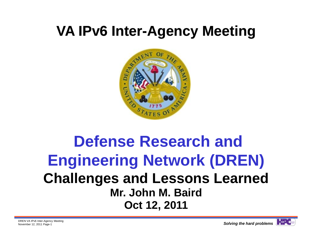# **VA IPv6 Inter-Agency Meeting**



## **Defense Research and Engineering Network (DREN) Challenges and Lessons Learned Mr. John M. BairdOct 12, 2011**

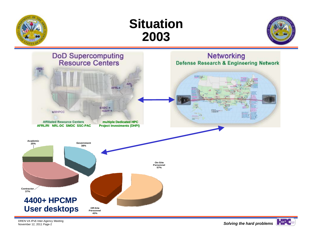







DREN VA IPv6 Inter-Agency Meeting<br>November 12, 2011 Page-2

Solving the hard problems<sup>4</sup>

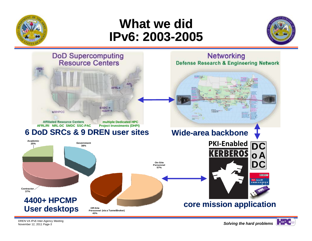

#### **What we didIPv6: 2003 2003-2005**





DREN VA IPv6 Inter-Agency Meeting<br>November 12, 2011 Page-3

Solving the hard problems<sup>12</sup>

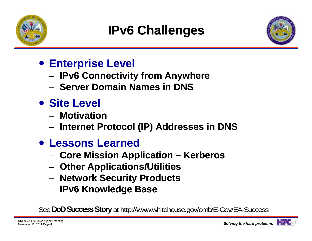

## **IPv6 Challenges**



- **Enterprise Level**
	- –**IPv6 Connectivity from Anywhere**
	- **Server Domain Names in DNS**
- **Site Level** 
	- **Motivation**
	- **Internet Protocol (IP) Addresses in DNS**
- **Lessons Learned**
	- **Core Mission Application – Kerberos**
	- **Other Applications/Utilities**
	- **Network Security Products**
	- and the state of the **IPv6 Knowledge Base**

See **DoD Success Story** at http://www.whitehouse.gov/omb/E-Gov/EA-Success

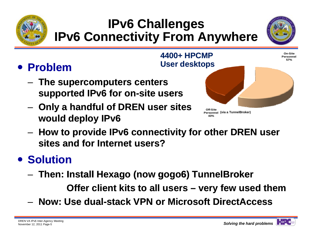

## **IPv6 Challenges IPv6 Connectivity From Anywhere**



## **Problem**

- **The supercomputers centers supported IPv6 for on-site users**
- **Only a handful of DREN user sites would deploy IPv6**



 **How to provide IPv6 connectivity for other DREN user sites and for Internet users?**

#### **• Solution**

–**Then: Install Hexago (now gogo6) TunnelBroker**

**Offer client kits to all users – very few used them**

– **Now: Use dual Use dual-stack VPN or Microsoft stack DirectAccess**

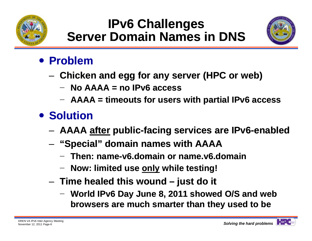

### **IPv6 Challenges Server Domain Names in DNS**



#### **Problem**

- – **Chicken and egg for any server (HPC or web)**
	- − **No AAAA = no IPv6 access**
	- **AAAA = timeouts for users with partial IPv6 access**

### **• Solution**

- **AAAA after public-facing services are IPv6 facing IPv6-enabled enabled**
- – **"Special" domain names with AAAA**
	- − **Then: name name-v6.domain or name.v6.domain v6.domain**
	- **Now: limited use only while testing!**
- **Time healed this wound – just do it**
	- **World IPv6 Day June 8, 2011 showed O/S and web browsers are much smarter than they used to be**

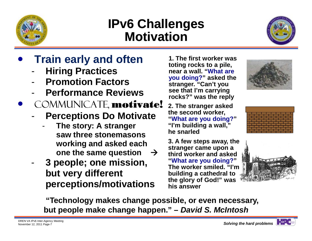

### **IPv6 Challenges Motivation**



- $\bullet$  **Train early and often**
	- -**Hiring Practices**
	- -**Promotion Factors**
	- -**Performance Reviews**
- $\bullet$ COMMUNICATE, motivate!
	- -- Perceptions Do Motivate
		- **The story: A stranger saw three stonemasons working and asked each one the same question**   $\rightarrow$
	- - **3 people; one mission, but very different perceptions/motivations**

**1. The first worker was toting rocks to a pile, near a wall. "What are you doing?" asked the stranger. "Can't you see that I'm carrying rocks?" was the reply** 

**2. The stranger asked the second worker, "What are you doing? "What are you doing? "I'm building a wall," he snarled**

**3. A few steps away, the stranger came upon a third worker and asked "What are you doing?" The worker smiled. "I'm building a cathedral to the glory of God!" was his answer**





**"Technology makes change possible, or even necessary, but people make change happen." –** *David S. McIntosh*

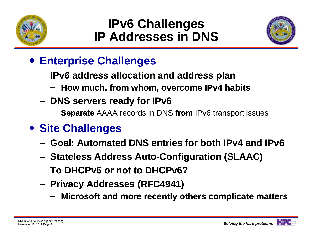

#### **IPv6 Challenges IP Addresses in DNS**



#### **Enterprise Challenges**

- – **IPv6 address allocation and address plan**
	- $-$  How much, from whom, overcome IPv4 habits
- and the state of the **DNS servers ready for IPv6**
	- −**Separate** AAAA records in DNS **from** IPv6 transport issues
- **Site Challenges**
	- **Goal: Automated DNS entries for both IPv4 and IPv6**
	- Stateless Address Auto-Configuration (SLAAC)
	- **To DHCPv6 or not to DHCPv6?**
	- – **Privacy Addresses (RFC4941)**
		- **Microsoft and more recently others complicate matters**

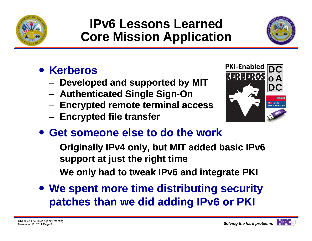

### **IPv6 Lessons LearnedCore Mission Application**



- **Kerberos** 
	- –**Developed and supported by MIT**
	- **Authenticated Single Sign Sign-On**
	- and the state of the **Encrypted remote terminal access**
	- $-$  Encrypted file transfer



- **Get someone else to do the work**
	- **Originally IPv4 only, but MIT added basic IPv6 support at just the right time**
	- **We only had to tweak IPv6 and integrate PKI**
- **We spent more time distributing security patches than we did adding IPv6 or PKI**

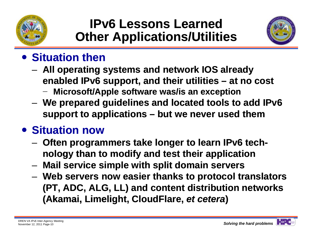



#### **• Situation then**

- **All operating systems and network IOS already enabled IPv6 support, and their utilities – at no cost Microsoft/Apple software was/is an exception**
- **We prepared guidelines and located tools to add IPv6 support to applications – but we never used them them**

#### **Situation now**

- $-$  Often programmers take longer to learn IPv6 tech**nology than to modify and test their application than**
- –**Mail service simple with split domain servers**
- **Web servers now easier thanks to protocol translators (PT, ADC, ALG, LL) and content distribution networks (Akamai, Limelight, CloudFlare, et cetera)**

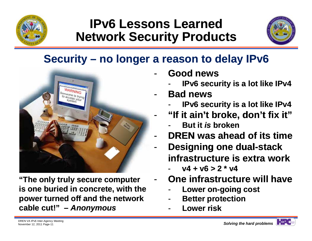

#### **IPv6 Lessons LearnedNetwork Security Products**



#### **Security – no longer a reason to delay IPv6**

-

-



**"The only truly secure computer is one buried in concrete, with the power turned off and the network cable cut!" cut!" –** *Anonymous*

- - **Good news**
	- **IPv6 security is a lot like IPv4**
- - **Bad news**
	- **IPv6 security is a lot like IPv4**
	- **"If it ain't broke, don't fix it" broke,** 
		- **But it** *is* **broken**
- -**- DREN was ahead of its time**
- -**Designing one dual-stack infrastructure is extra work**
	- **v4 + v6 > 2 \* v4**
	- **One infrastructure will have**
		- **Lower on on-going cost going**
		- **Better protection**
		- **Lower risk**